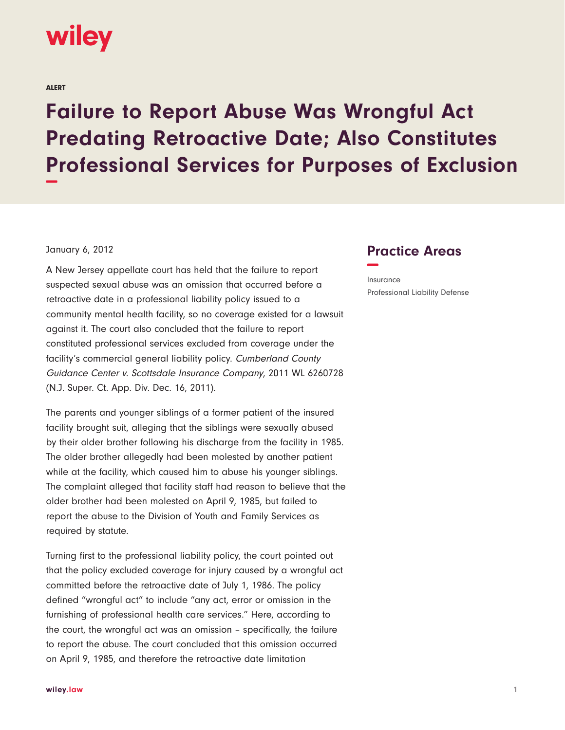

ALERT

## **Failure to Report Abuse Was Wrongful Act Predating Retroactive Date; Also Constitutes Professional Services for Purposes of Exclusion −**

## January 6, 2012

A New Jersey appellate court has held that the failure to report suspected sexual abuse was an omission that occurred before a retroactive date in a professional liability policy issued to a community mental health facility, so no coverage existed for a lawsuit against it. The court also concluded that the failure to report constituted professional services excluded from coverage under the facility's commercial general liability policy. Cumberland County Guidance Center v. Scottsdale Insurance Company, 2011 WL 6260728 (N.J. Super. Ct. App. Div. Dec. 16, 2011).

The parents and younger siblings of a former patient of the insured facility brought suit, alleging that the siblings were sexually abused by their older brother following his discharge from the facility in 1985. The older brother allegedly had been molested by another patient while at the facility, which caused him to abuse his younger siblings. The complaint alleged that facility staff had reason to believe that the older brother had been molested on April 9, 1985, but failed to report the abuse to the Division of Youth and Family Services as required by statute.

Turning first to the professional liability policy, the court pointed out that the policy excluded coverage for injury caused by a wrongful act committed before the retroactive date of July 1, 1986. The policy defined "wrongful act" to include "any act, error or omission in the furnishing of professional health care services." Here, according to the court, the wrongful act was an omission – specifically, the failure to report the abuse. The court concluded that this omission occurred on April 9, 1985, and therefore the retroactive date limitation

## **Practice Areas −**

Insurance Professional Liability Defense